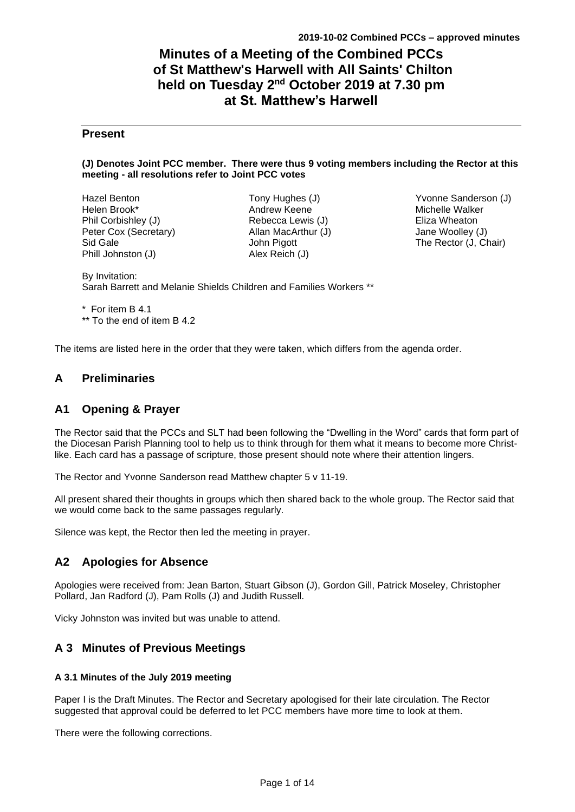# **Minutes of a Meeting of the Combined PCCs of St Matthew's Harwell with All Saints' Chilton held on Tuesday 2<sup>nd</sup> October 2019 at 7.30 pm at St. Matthew's Harwell**

# **Present**

### **(J) Denotes Joint PCC member. There were thus 9 voting members including the Rector at this meeting - all resolutions refer to Joint PCC votes**

| Hazel Benton          |
|-----------------------|
| Helen Brook*          |
| Phil Corbishley (J)   |
| Peter Cox (Secretary) |
| Sid Gale              |
| Phill Johnston (J)    |

Tony Hughes (J) Andrew Keene Rebecca Lewis (J) Allan MacArthur (J) John Pigott Alex Reich (J)

Yvonne Sanderson (J) Michelle Walker Eliza Wheaton Jane Woolley (J) The Rector (J, Chair)

By Invitation: Sarah Barrett and Melanie Shields Children and Families Workers \*\*

\* For item B 4.1 \*\* To the end of item B 4.2

The items are listed here in the order that they were taken, which differs from the agenda order.

# **A Preliminaries**

# **A1 Opening & Prayer**

The Rector said that the PCCs and SLT had been following the "Dwelling in the Word" cards that form part of the Diocesan Parish Planning tool to help us to think through for them what it means to become more Christlike. Each card has a passage of scripture, those present should note where their attention lingers.

The Rector and Yvonne Sanderson read Matthew chapter 5 v 11-19.

All present shared their thoughts in groups which then shared back to the whole group. The Rector said that we would come back to the same passages regularly.

Silence was kept, the Rector then led the meeting in prayer.

# **A2 Apologies for Absence**

Apologies were received from: Jean Barton, Stuart Gibson (J), Gordon Gill, Patrick Moseley, Christopher Pollard, Jan Radford (J), Pam Rolls (J) and Judith Russell.

Vicky Johnston was invited but was unable to attend.

# **A 3 Minutes of Previous Meetings**

## **A 3.1 Minutes of the July 2019 meeting**

Paper I is the Draft Minutes. The Rector and Secretary apologised for their late circulation. The Rector suggested that approval could be deferred to let PCC members have more time to look at them.

There were the following corrections.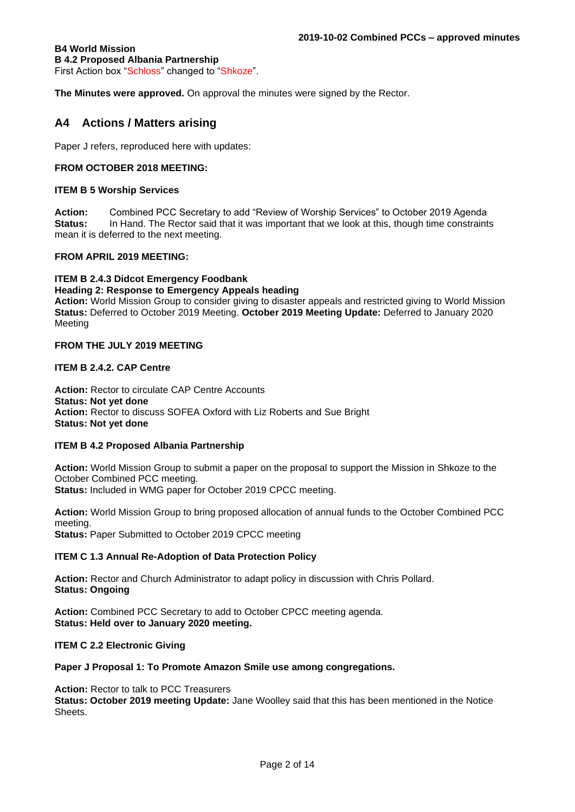### **B4 World Mission B 4.2 Proposed Albania Partnership** First Action box "Schloss" changed to "Shkoze".

**The Minutes were approved.** On approval the minutes were signed by the Rector.

# **A4 Actions / Matters arising**

Paper J refers, reproduced here with updates:

### **FROM OCTOBER 2018 MEETING:**

### **ITEM B 5 Worship Services**

**Action:** Combined PCC Secretary to add "Review of Worship Services" to October 2019 Agenda **Status:** In Hand. The Rector said that it was important that we look at this, though time constraints mean it is deferred to the next meeting.

### **FROM APRIL 2019 MEETING:**

### **ITEM B 2.4.3 Didcot Emergency Foodbank**

#### **Heading 2: Response to Emergency Appeals heading**

**Action:** World Mission Group to consider giving to disaster appeals and restricted giving to World Mission **Status:** Deferred to October 2019 Meeting. **October 2019 Meeting Update:** Deferred to January 2020 Meeting

### **FROM THE JULY 2019 MEETING**

### **ITEM B 2.4.2. CAP Centre**

Action: Rector to circulate CAP Centre Accounts **Status: Not yet done Action:** Rector to discuss SOFEA Oxford with Liz Roberts and Sue Bright **Status: Not yet done**

### **ITEM B 4.2 Proposed Albania Partnership**

**Action:** World Mission Group to submit a paper on the proposal to support the Mission in Shkoze to the October Combined PCC meeting.

**Status:** Included in WMG paper for October 2019 CPCC meeting.

**Action:** World Mission Group to bring proposed allocation of annual funds to the October Combined PCC meeting.

**Status: Paper Submitted to October 2019 CPCC meeting** 

### **ITEM C 1.3 Annual Re-Adoption of Data Protection Policy**

**Action:** Rector and Church Administrator to adapt policy in discussion with Chris Pollard. **Status: Ongoing**

**Action:** Combined PCC Secretary to add to October CPCC meeting agenda. **Status: Held over to January 2020 meeting.**

**ITEM C 2.2 Electronic Giving** 

### **Paper J Proposal 1: To Promote Amazon Smile use among congregations.**

### **Action:** Rector to talk to PCC Treasurers

**Status: October 2019 meeting Update:** Jane Woolley said that this has been mentioned in the Notice Sheets.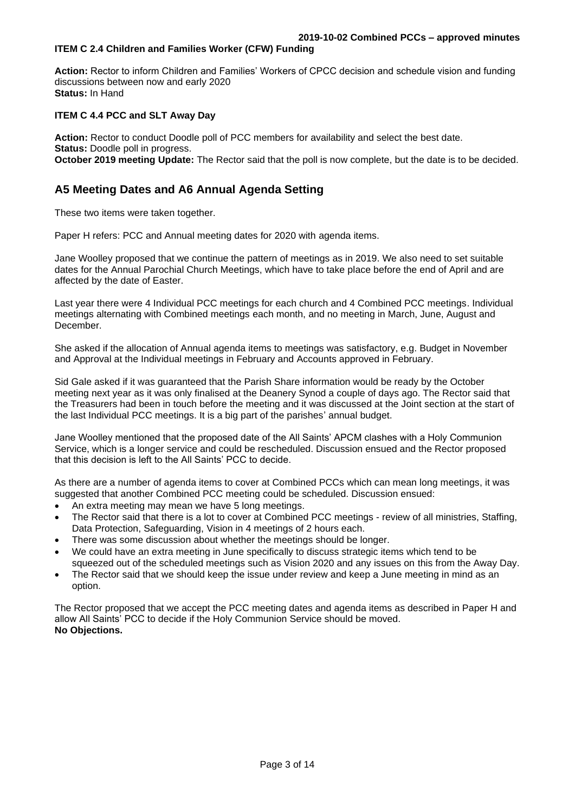# **ITEM C 2.4 Children and Families Worker (CFW) Funding**

**Action:** Rector to inform Children and Families' Workers of CPCC decision and schedule vision and funding discussions between now and early 2020 **Status:** In Hand

# **ITEM C 4.4 PCC and SLT Away Day**

**Action:** Rector to conduct Doodle poll of PCC members for availability and select the best date. **Status: Doodle poll in progress. October 2019 meeting Update:** The Rector said that the poll is now complete, but the date is to be decided.

# **A5 Meeting Dates and A6 Annual Agenda Setting**

These two items were taken together.

Paper H refers: PCC and Annual meeting dates for 2020 with agenda items.

Jane Woolley proposed that we continue the pattern of meetings as in 2019. We also need to set suitable dates for the Annual Parochial Church Meetings, which have to take place before the end of April and are affected by the date of Easter.

Last year there were 4 Individual PCC meetings for each church and 4 Combined PCC meetings. Individual meetings alternating with Combined meetings each month, and no meeting in March, June, August and **December** 

She asked if the allocation of Annual agenda items to meetings was satisfactory, e.g. Budget in November and Approval at the Individual meetings in February and Accounts approved in February.

Sid Gale asked if it was guaranteed that the Parish Share information would be ready by the October meeting next year as it was only finalised at the Deanery Synod a couple of days ago. The Rector said that the Treasurers had been in touch before the meeting and it was discussed at the Joint section at the start of the last Individual PCC meetings. It is a big part of the parishes' annual budget.

Jane Woolley mentioned that the proposed date of the All Saints' APCM clashes with a Holy Communion Service, which is a longer service and could be rescheduled. Discussion ensued and the Rector proposed that this decision is left to the All Saints' PCC to decide.

As there are a number of agenda items to cover at Combined PCCs which can mean long meetings, it was suggested that another Combined PCC meeting could be scheduled. Discussion ensued:

- An extra meeting may mean we have 5 long meetings.
- The Rector said that there is a lot to cover at Combined PCC meetings review of all ministries, Staffing, Data Protection, Safeguarding, Vision in 4 meetings of 2 hours each.
- There was some discussion about whether the meetings should be longer.
- We could have an extra meeting in June specifically to discuss strategic items which tend to be squeezed out of the scheduled meetings such as Vision 2020 and any issues on this from the Away Day.
- The Rector said that we should keep the issue under review and keep a June meeting in mind as an option.

The Rector proposed that we accept the PCC meeting dates and agenda items as described in Paper H and allow All Saints' PCC to decide if the Holy Communion Service should be moved. **No Objections.**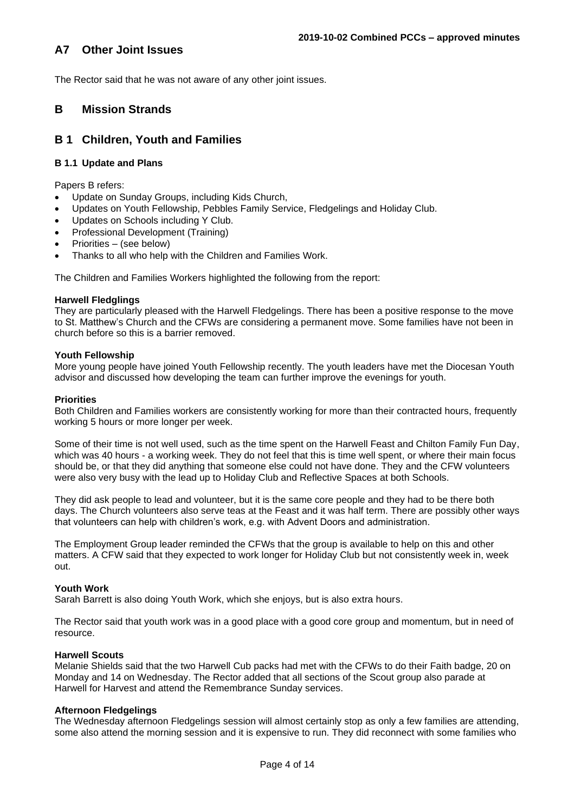# **A7 Other Joint Issues**

The Rector said that he was not aware of any other joint issues.

# **B Mission Strands**

# **B 1 Children, Youth and Families**

# **B 1.1 Update and Plans**

Papers B refers:

- Update on Sunday Groups, including Kids Church,
- Updates on Youth Fellowship, Pebbles Family Service, Fledgelings and Holiday Club.
- Updates on Schools including Y Club.
- Professional Development (Training)
- Priorities (see below)
- Thanks to all who help with the Children and Families Work.

The Children and Families Workers highlighted the following from the report:

### **Harwell Fledglings**

They are particularly pleased with the Harwell Fledgelings. There has been a positive response to the move to St. Matthew's Church and the CFWs are considering a permanent move. Some families have not been in church before so this is a barrier removed.

## **Youth Fellowship**

More young people have joined Youth Fellowship recently. The youth leaders have met the Diocesan Youth advisor and discussed how developing the team can further improve the evenings for youth.

### **Priorities**

Both Children and Families workers are consistently working for more than their contracted hours, frequently working 5 hours or more longer per week.

Some of their time is not well used, such as the time spent on the Harwell Feast and Chilton Family Fun Day, which was 40 hours - a working week. They do not feel that this is time well spent, or where their main focus should be, or that they did anything that someone else could not have done. They and the CFW volunteers were also very busy with the lead up to Holiday Club and Reflective Spaces at both Schools.

They did ask people to lead and volunteer, but it is the same core people and they had to be there both days. The Church volunteers also serve teas at the Feast and it was half term. There are possibly other ways that volunteers can help with children's work, e.g. with Advent Doors and administration.

The Employment Group leader reminded the CFWs that the group is available to help on this and other matters. A CFW said that they expected to work longer for Holiday Club but not consistently week in, week out.

## **Youth Work**

Sarah Barrett is also doing Youth Work, which she enjoys, but is also extra hours.

The Rector said that youth work was in a good place with a good core group and momentum, but in need of resource.

### **Harwell Scouts**

Melanie Shields said that the two Harwell Cub packs had met with the CFWs to do their Faith badge, 20 on Monday and 14 on Wednesday. The Rector added that all sections of the Scout group also parade at Harwell for Harvest and attend the Remembrance Sunday services.

### **Afternoon Fledgelings**

The Wednesday afternoon Fledgelings session will almost certainly stop as only a few families are attending, some also attend the morning session and it is expensive to run. They did reconnect with some families who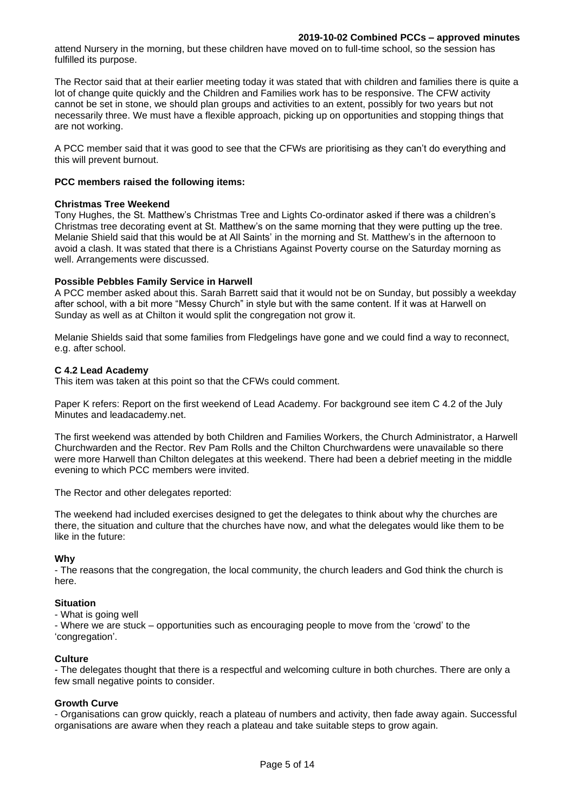attend Nursery in the morning, but these children have moved on to full-time school, so the session has fulfilled its purpose.

The Rector said that at their earlier meeting today it was stated that with children and families there is quite a lot of change quite quickly and the Children and Families work has to be responsive. The CFW activity cannot be set in stone, we should plan groups and activities to an extent, possibly for two years but not necessarily three. We must have a flexible approach, picking up on opportunities and stopping things that are not working.

A PCC member said that it was good to see that the CFWs are prioritising as they can't do everything and this will prevent burnout.

### **PCC members raised the following items:**

### **Christmas Tree Weekend**

Tony Hughes, the St. Matthew's Christmas Tree and Lights Co-ordinator asked if there was a children's Christmas tree decorating event at St. Matthew's on the same morning that they were putting up the tree. Melanie Shield said that this would be at All Saints' in the morning and St. Matthew's in the afternoon to avoid a clash. It was stated that there is a Christians Against Poverty course on the Saturday morning as well. Arrangements were discussed.

### **Possible Pebbles Family Service in Harwell**

A PCC member asked about this. Sarah Barrett said that it would not be on Sunday, but possibly a weekday after school, with a bit more "Messy Church" in style but with the same content. If it was at Harwell on Sunday as well as at Chilton it would split the congregation not grow it.

Melanie Shields said that some families from Fledgelings have gone and we could find a way to reconnect, e.g. after school.

### **C 4.2 Lead Academy**

This item was taken at this point so that the CFWs could comment.

Paper K refers: Report on the first weekend of Lead Academy. For background see item C 4.2 of the July Minutes and leadacademy.net.

The first weekend was attended by both Children and Families Workers, the Church Administrator, a Harwell Churchwarden and the Rector. Rev Pam Rolls and the Chilton Churchwardens were unavailable so there were more Harwell than Chilton delegates at this weekend. There had been a debrief meeting in the middle evening to which PCC members were invited.

The Rector and other delegates reported:

The weekend had included exercises designed to get the delegates to think about why the churches are there, the situation and culture that the churches have now, and what the delegates would like them to be like in the future:

### **Why**

- The reasons that the congregation, the local community, the church leaders and God think the church is here.

### **Situation**

- What is going well

- Where we are stuck – opportunities such as encouraging people to move from the 'crowd' to the 'congregation'.

# **Culture**

- The delegates thought that there is a respectful and welcoming culture in both churches. There are only a few small negative points to consider.

### **Growth Curve**

- Organisations can grow quickly, reach a plateau of numbers and activity, then fade away again. Successful organisations are aware when they reach a plateau and take suitable steps to grow again.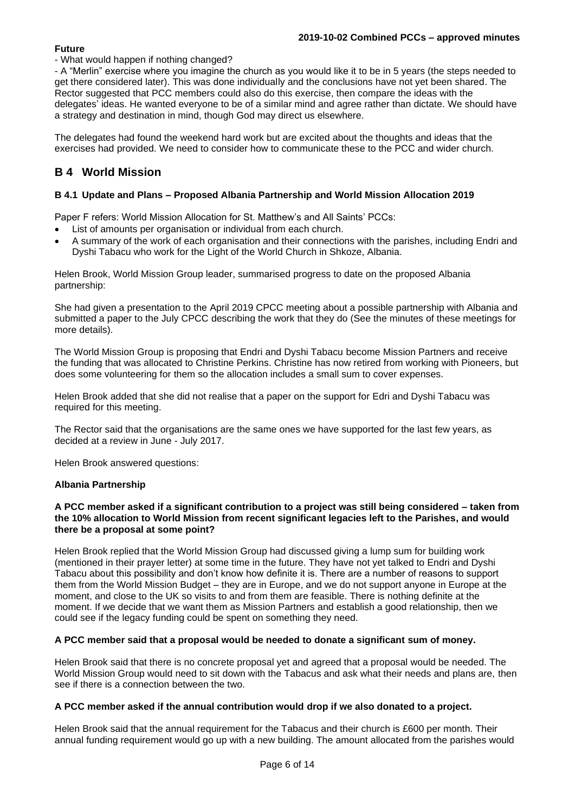# **Future**

# - What would happen if nothing changed?

- A "Merlin" exercise where you imagine the church as you would like it to be in 5 years (the steps needed to get there considered later). This was done individually and the conclusions have not yet been shared. The Rector suggested that PCC members could also do this exercise, then compare the ideas with the delegates' ideas. He wanted everyone to be of a similar mind and agree rather than dictate. We should have a strategy and destination in mind, though God may direct us elsewhere.

The delegates had found the weekend hard work but are excited about the thoughts and ideas that the exercises had provided. We need to consider how to communicate these to the PCC and wider church.

# **B 4 World Mission**

## **B 4.1 Update and Plans – Proposed Albania Partnership and World Mission Allocation 2019**

Paper F refers: World Mission Allocation for St. Matthew's and All Saints' PCCs:

- List of amounts per organisation or individual from each church.
- A summary of the work of each organisation and their connections with the parishes, including Endri and Dyshi Tabacu who work for the Light of the World Church in Shkoze, Albania.

Helen Brook, World Mission Group leader, summarised progress to date on the proposed Albania partnership:

She had given a presentation to the April 2019 CPCC meeting about a possible partnership with Albania and submitted a paper to the July CPCC describing the work that they do (See the minutes of these meetings for more details).

The World Mission Group is proposing that Endri and Dyshi Tabacu become Mission Partners and receive the funding that was allocated to Christine Perkins. Christine has now retired from working with Pioneers, but does some volunteering for them so the allocation includes a small sum to cover expenses.

Helen Brook added that she did not realise that a paper on the support for Edri and Dyshi Tabacu was required for this meeting.

The Rector said that the organisations are the same ones we have supported for the last few years, as decided at a review in June - July 2017.

Helen Brook answered questions:

## **Albania Partnership**

### **A PCC member asked if a significant contribution to a project was still being considered – taken from the 10% allocation to World Mission from recent significant legacies left to the Parishes, and would there be a proposal at some point?**

Helen Brook replied that the World Mission Group had discussed giving a lump sum for building work (mentioned in their prayer letter) at some time in the future. They have not yet talked to Endri and Dyshi Tabacu about this possibility and don't know how definite it is. There are a number of reasons to support them from the World Mission Budget – they are in Europe, and we do not support anyone in Europe at the moment, and close to the UK so visits to and from them are feasible. There is nothing definite at the moment. If we decide that we want them as Mission Partners and establish a good relationship, then we could see if the legacy funding could be spent on something they need.

## **A PCC member said that a proposal would be needed to donate a significant sum of money.**

Helen Brook said that there is no concrete proposal yet and agreed that a proposal would be needed. The World Mission Group would need to sit down with the Tabacus and ask what their needs and plans are, then see if there is a connection between the two.

## **A PCC member asked if the annual contribution would drop if we also donated to a project.**

Helen Brook said that the annual requirement for the Tabacus and their church is £600 per month. Their annual funding requirement would go up with a new building. The amount allocated from the parishes would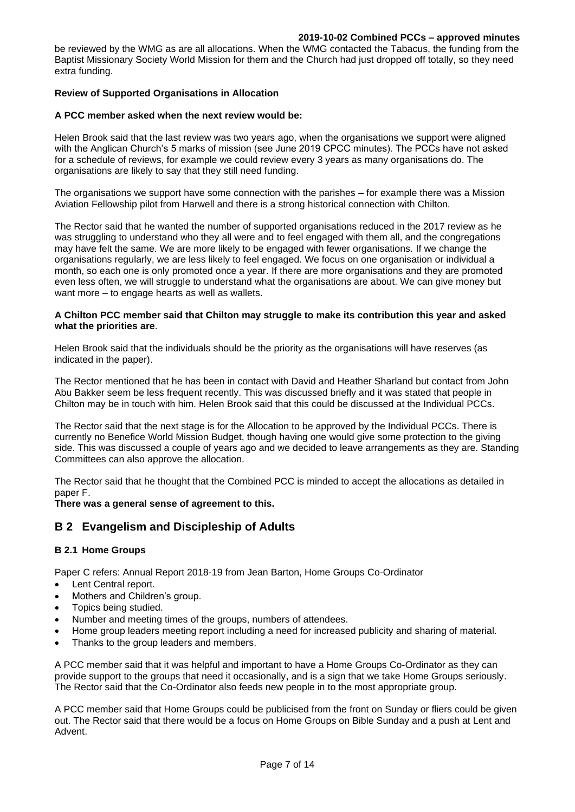be reviewed by the WMG as are all allocations. When the WMG contacted the Tabacus, the funding from the Baptist Missionary Society World Mission for them and the Church had just dropped off totally, so they need extra funding.

# **Review of Supported Organisations in Allocation**

## **A PCC member asked when the next review would be:**

Helen Brook said that the last review was two years ago, when the organisations we support were aligned with the Anglican Church's 5 marks of mission (see June 2019 CPCC minutes). The PCCs have not asked for a schedule of reviews, for example we could review every 3 years as many organisations do. The organisations are likely to say that they still need funding.

The organisations we support have some connection with the parishes – for example there was a Mission Aviation Fellowship pilot from Harwell and there is a strong historical connection with Chilton.

The Rector said that he wanted the number of supported organisations reduced in the 2017 review as he was struggling to understand who they all were and to feel engaged with them all, and the congregations may have felt the same. We are more likely to be engaged with fewer organisations. If we change the organisations regularly, we are less likely to feel engaged. We focus on one organisation or individual a month, so each one is only promoted once a year. If there are more organisations and they are promoted even less often, we will struggle to understand what the organisations are about. We can give money but want more – to engage hearts as well as wallets.

## **A Chilton PCC member said that Chilton may struggle to make its contribution this year and asked what the priorities are**.

Helen Brook said that the individuals should be the priority as the organisations will have reserves (as indicated in the paper).

The Rector mentioned that he has been in contact with David and Heather Sharland but contact from John Abu Bakker seem be less frequent recently. This was discussed briefly and it was stated that people in Chilton may be in touch with him. Helen Brook said that this could be discussed at the Individual PCCs.

The Rector said that the next stage is for the Allocation to be approved by the Individual PCCs. There is currently no Benefice World Mission Budget, though having one would give some protection to the giving side. This was discussed a couple of years ago and we decided to leave arrangements as they are. Standing Committees can also approve the allocation.

The Rector said that he thought that the Combined PCC is minded to accept the allocations as detailed in paper F.

### **There was a general sense of agreement to this.**

# **B 2 Evangelism and Discipleship of Adults**

## **B 2.1 Home Groups**

Paper C refers: Annual Report 2018-19 from Jean Barton, Home Groups Co-Ordinator

- Lent Central report.
- Mothers and Children's group.
- Topics being studied.
- Number and meeting times of the groups, numbers of attendees.
- Home group leaders meeting report including a need for increased publicity and sharing of material.
- Thanks to the group leaders and members.

A PCC member said that it was helpful and important to have a Home Groups Co-Ordinator as they can provide support to the groups that need it occasionally, and is a sign that we take Home Groups seriously. The Rector said that the Co-Ordinator also feeds new people in to the most appropriate group.

A PCC member said that Home Groups could be publicised from the front on Sunday or fliers could be given out. The Rector said that there would be a focus on Home Groups on Bible Sunday and a push at Lent and Advent.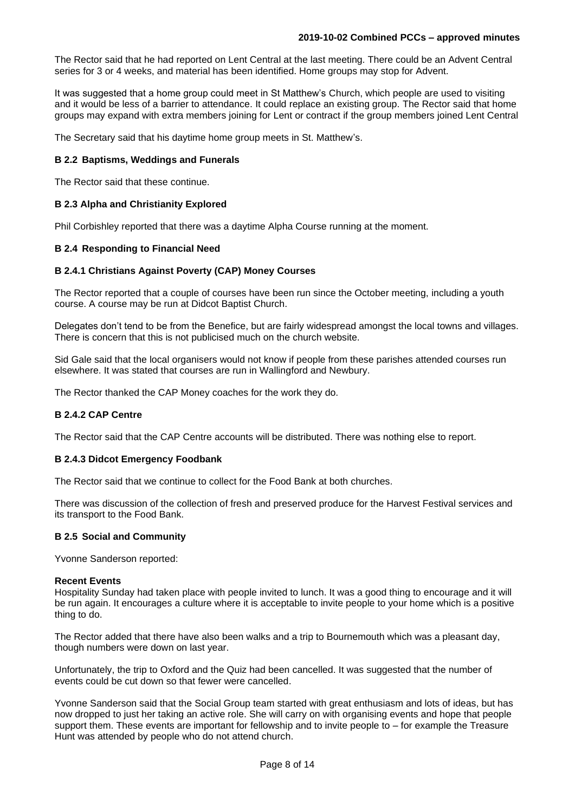The Rector said that he had reported on Lent Central at the last meeting. There could be an Advent Central series for 3 or 4 weeks, and material has been identified. Home groups may stop for Advent.

It was suggested that a home group could meet in St Matthew's Church, which people are used to visiting and it would be less of a barrier to attendance. It could replace an existing group. The Rector said that home groups may expand with extra members joining for Lent or contract if the group members joined Lent Central

The Secretary said that his daytime home group meets in St. Matthew's.

## **B 2.2 Baptisms, Weddings and Funerals**

The Rector said that these continue.

## **B 2.3 Alpha and Christianity Explored**

Phil Corbishley reported that there was a daytime Alpha Course running at the moment.

## **B 2.4 Responding to Financial Need**

## **B 2.4.1 Christians Against Poverty (CAP) Money Courses**

The Rector reported that a couple of courses have been run since the October meeting, including a youth course. A course may be run at Didcot Baptist Church.

Delegates don't tend to be from the Benefice, but are fairly widespread amongst the local towns and villages. There is concern that this is not publicised much on the church website.

Sid Gale said that the local organisers would not know if people from these parishes attended courses run elsewhere. It was stated that courses are run in Wallingford and Newbury.

The Rector thanked the CAP Money coaches for the work they do.

### **B 2.4.2 CAP Centre**

The Rector said that the CAP Centre accounts will be distributed. There was nothing else to report.

### **B 2.4.3 Didcot Emergency Foodbank**

The Rector said that we continue to collect for the Food Bank at both churches.

There was discussion of the collection of fresh and preserved produce for the Harvest Festival services and its transport to the Food Bank.

### **B 2.5 Social and Community**

Yvonne Sanderson reported:

### **Recent Events**

Hospitality Sunday had taken place with people invited to lunch. It was a good thing to encourage and it will be run again. It encourages a culture where it is acceptable to invite people to your home which is a positive thing to do.

The Rector added that there have also been walks and a trip to Bournemouth which was a pleasant day, though numbers were down on last year.

Unfortunately, the trip to Oxford and the Quiz had been cancelled. It was suggested that the number of events could be cut down so that fewer were cancelled.

Yvonne Sanderson said that the Social Group team started with great enthusiasm and lots of ideas, but has now dropped to just her taking an active role. She will carry on with organising events and hope that people support them. These events are important for fellowship and to invite people to – for example the Treasure Hunt was attended by people who do not attend church.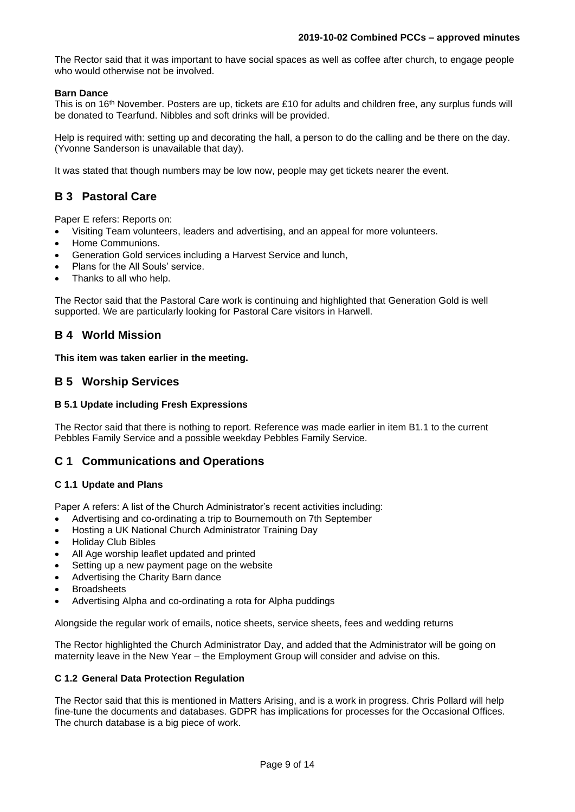The Rector said that it was important to have social spaces as well as coffee after church, to engage people who would otherwise not be involved.

# **Barn Dance**

This is on 16<sup>th</sup> November. Posters are up, tickets are £10 for adults and children free, any surplus funds will be donated to Tearfund. Nibbles and soft drinks will be provided.

Help is required with: setting up and decorating the hall, a person to do the calling and be there on the day. (Yvonne Sanderson is unavailable that day).

It was stated that though numbers may be low now, people may get tickets nearer the event.

# **B 3 Pastoral Care**

Paper E refers: Reports on:

- Visiting Team volunteers, leaders and advertising, and an appeal for more volunteers.
- Home Communions.
- Generation Gold services including a Harvest Service and lunch,
- Plans for the All Souls' service.
- Thanks to all who help.

The Rector said that the Pastoral Care work is continuing and highlighted that Generation Gold is well supported. We are particularly looking for Pastoral Care visitors in Harwell.

# **B 4 World Mission**

**This item was taken earlier in the meeting.**

# **B 5 Worship Services**

## **B 5.1 Update including Fresh Expressions**

The Rector said that there is nothing to report. Reference was made earlier in item B1.1 to the current Pebbles Family Service and a possible weekday Pebbles Family Service.

# **C 1 Communications and Operations**

## **C 1.1 Update and Plans**

Paper A refers: A list of the Church Administrator's recent activities including:

- Advertising and co-ordinating a trip to Bournemouth on 7th September
- Hosting a UK National Church Administrator Training Day
- Holiday Club Bibles
- All Age worship leaflet updated and printed
- Setting up a new payment page on the website
- Advertising the Charity Barn dance
- Broadsheets
- Advertising Alpha and co-ordinating a rota for Alpha puddings

Alongside the regular work of emails, notice sheets, service sheets, fees and wedding returns

The Rector highlighted the Church Administrator Day, and added that the Administrator will be going on maternity leave in the New Year – the Employment Group will consider and advise on this.

## **C 1.2 General Data Protection Regulation**

The Rector said that this is mentioned in Matters Arising, and is a work in progress. Chris Pollard will help fine-tune the documents and databases. GDPR has implications for processes for the Occasional Offices. The church database is a big piece of work.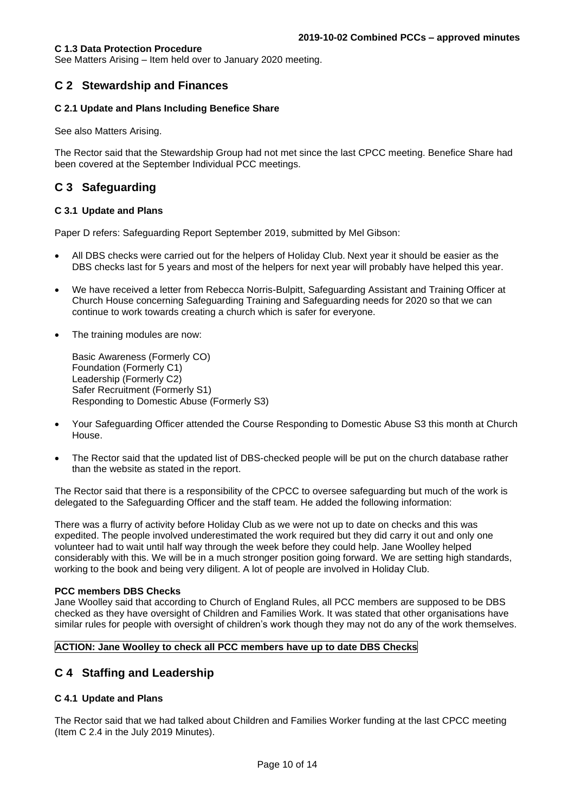See Matters Arising – Item held over to January 2020 meeting.

# **C 2 Stewardship and Finances**

## **C 2.1 Update and Plans Including Benefice Share**

See also Matters Arising.

The Rector said that the Stewardship Group had not met since the last CPCC meeting. Benefice Share had been covered at the September Individual PCC meetings.

# **C 3 Safeguarding**

## **C 3.1 Update and Plans**

Paper D refers: Safeguarding Report September 2019, submitted by Mel Gibson:

- All DBS checks were carried out for the helpers of Holiday Club. Next year it should be easier as the DBS checks last for 5 years and most of the helpers for next year will probably have helped this year.
- We have received a letter from Rebecca Norris-Bulpitt, Safeguarding Assistant and Training Officer at Church House concerning Safeguarding Training and Safeguarding needs for 2020 so that we can continue to work towards creating a church which is safer for everyone.
- The training modules are now:

Basic Awareness (Formerly CO) Foundation (Formerly C1) Leadership (Formerly C2) Safer Recruitment (Formerly S1) Responding to Domestic Abuse (Formerly S3)

- Your Safeguarding Officer attended the Course Responding to Domestic Abuse S3 this month at Church House.
- The Rector said that the updated list of DBS-checked people will be put on the church database rather than the website as stated in the report.

The Rector said that there is a responsibility of the CPCC to oversee safeguarding but much of the work is delegated to the Safeguarding Officer and the staff team. He added the following information:

There was a flurry of activity before Holiday Club as we were not up to date on checks and this was expedited. The people involved underestimated the work required but they did carry it out and only one volunteer had to wait until half way through the week before they could help. Jane Woolley helped considerably with this. We will be in a much stronger position going forward. We are setting high standards, working to the book and being very diligent. A lot of people are involved in Holiday Club.

### **PCC members DBS Checks**

Jane Woolley said that according to Church of England Rules, all PCC members are supposed to be DBS checked as they have oversight of Children and Families Work. It was stated that other organisations have similar rules for people with oversight of children's work though they may not do any of the work themselves.

## **ACTION: Jane Woolley to check all PCC members have up to date DBS Checks**

# **C 4 Staffing and Leadership**

## **C 4.1 Update and Plans**

The Rector said that we had talked about Children and Families Worker funding at the last CPCC meeting (Item C 2.4 in the July 2019 Minutes).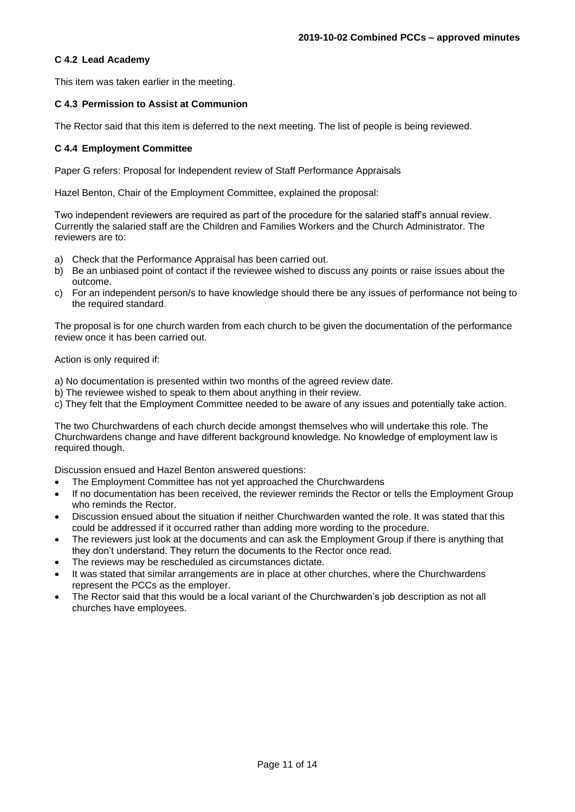## **C 4.2 Lead Academy**

This item was taken earlier in the meeting.

## **C 4.3 Permission to Assist at Communion**

The Rector said that this item is deferred to the next meeting. The list of people is being reviewed.

## **C 4.4 Employment Committee**

Paper G refers: Proposal for Independent review of Staff Performance Appraisals

Hazel Benton, Chair of the Employment Committee, explained the proposal:

Two independent reviewers are required as part of the procedure for the salaried staff's annual review. Currently the salaried staff are the Children and Families Workers and the Church Administrator. The reviewers are to:

- a) Check that the Performance Appraisal has been carried out.
- b) Be an unbiased point of contact if the reviewee wished to discuss any points or raise issues about the outcome.
- c) For an independent person/s to have knowledge should there be any issues of performance not being to the required standard.

The proposal is for one church warden from each church to be given the documentation of the performance review once it has been carried out.

Action is only required if:

- a) No documentation is presented within two months of the agreed review date.
- b) The reviewee wished to speak to them about anything in their review.
- c) They felt that the Employment Committee needed to be aware of any issues and potentially take action.

The two Churchwardens of each church decide amongst themselves who will undertake this role. The Churchwardens change and have different background knowledge. No knowledge of employment law is required though.

Discussion ensued and Hazel Benton answered questions:

- The Employment Committee has not yet approached the Churchwardens
- If no documentation has been received, the reviewer reminds the Rector or tells the Employment Group who reminds the Rector.
- Discussion ensued about the situation if neither Churchwarden wanted the role. It was stated that this could be addressed if it occurred rather than adding more wording to the procedure.
- The reviewers just look at the documents and can ask the Employment Group if there is anything that they don't understand. They return the documents to the Rector once read.
- The reviews may be rescheduled as circumstances dictate.
- It was stated that similar arrangements are in place at other churches, where the Churchwardens represent the PCCs as the employer.
- The Rector said that this would be a local variant of the Churchwarden's job description as not all churches have employees.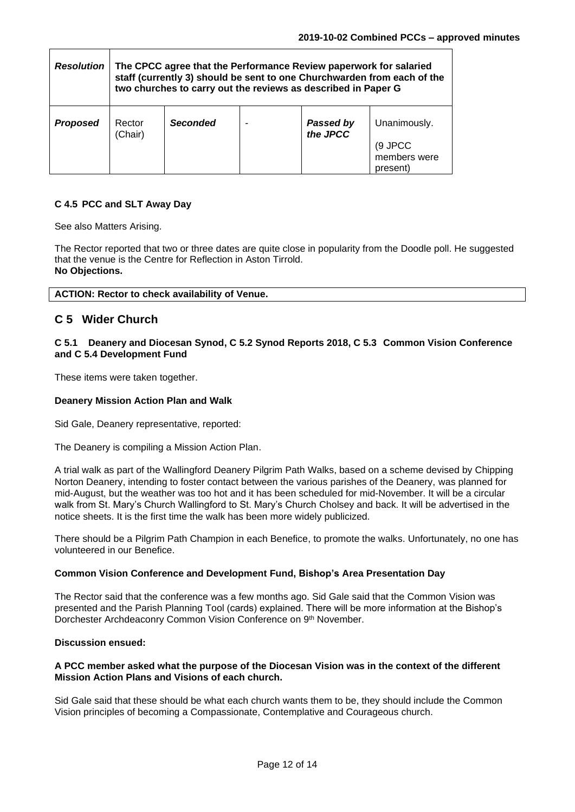| <b>Resolution</b> | The CPCC agree that the Performance Review paperwork for salaried<br>staff (currently 3) should be sent to one Churchwarden from each of the<br>two churches to carry out the reviews as described in Paper G |                 |  |                       |                                                     |
|-------------------|---------------------------------------------------------------------------------------------------------------------------------------------------------------------------------------------------------------|-----------------|--|-----------------------|-----------------------------------------------------|
| <b>Proposed</b>   | Rector<br>(Chair)                                                                                                                                                                                             | <b>Seconded</b> |  | Passed by<br>the JPCC | Unanimously.<br>(9 JPCC<br>members were<br>present) |

# **C 4.5 PCC and SLT Away Day**

See also Matters Arising.

The Rector reported that two or three dates are quite close in popularity from the Doodle poll. He suggested that the venue is the Centre for Reflection in Aston Tirrold. **No Objections.**

# **C 5 Wider Church**

## **C 5.1 Deanery and Diocesan Synod, C 5.2 Synod Reports 2018, C 5.3 Common Vision Conference and C 5.4 Development Fund**

These items were taken together.

## **Deanery Mission Action Plan and Walk**

Sid Gale, Deanery representative, reported:

The Deanery is compiling a Mission Action Plan.

A trial walk as part of the Wallingford Deanery Pilgrim Path Walks, based on a scheme devised by Chipping Norton Deanery, intending to foster contact between the various parishes of the Deanery, was planned for mid-August, but the weather was too hot and it has been scheduled for mid-November. It will be a circular walk from St. Mary's Church Wallingford to St. Mary's Church Cholsey and back. It will be advertised in the notice sheets. It is the first time the walk has been more widely publicized.

There should be a Pilgrim Path Champion in each Benefice, to promote the walks. Unfortunately, no one has volunteered in our Benefice.

## **Common Vision Conference and Development Fund, Bishop's Area Presentation Day**

The Rector said that the conference was a few months ago. Sid Gale said that the Common Vision was presented and the Parish Planning Tool (cards) explained. There will be more information at the Bishop's Dorchester Archdeaconry Common Vision Conference on 9<sup>th</sup> November.

### **Discussion ensued:**

## **A PCC member asked what the purpose of the Diocesan Vision was in the context of the different Mission Action Plans and Visions of each church.**

Sid Gale said that these should be what each church wants them to be, they should include the Common Vision principles of becoming a Compassionate, Contemplative and Courageous church.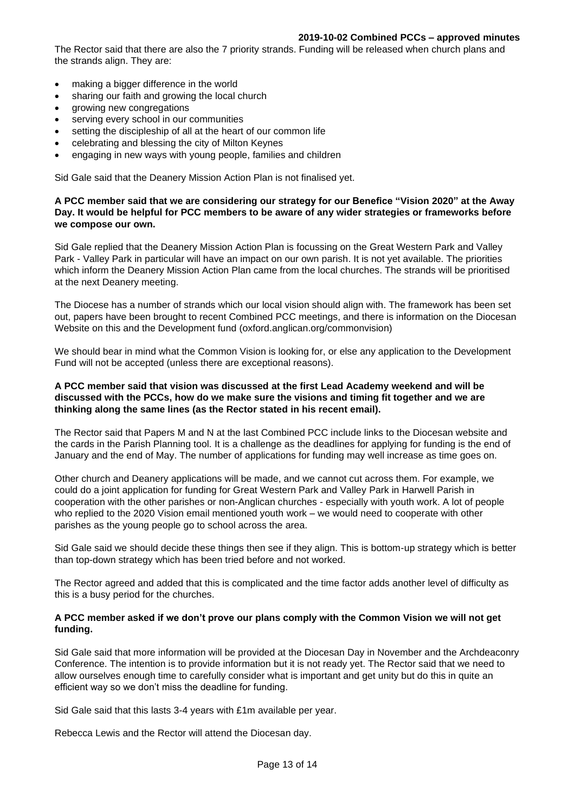The Rector said that there are also the 7 priority strands. Funding will be released when church plans and the strands align. They are:

- making a bigger difference in the world
- sharing our faith and growing the local church
- growing new congregations
- serving every school in our communities
- setting the discipleship of all at the heart of our common life
- celebrating and blessing the city of Milton Keynes
- engaging in new ways with young people, families and children

Sid Gale said that the Deanery Mission Action Plan is not finalised yet.

## **A PCC member said that we are considering our strategy for our Benefice "Vision 2020" at the Away Day. It would be helpful for PCC members to be aware of any wider strategies or frameworks before we compose our own.**

Sid Gale replied that the Deanery Mission Action Plan is focussing on the Great Western Park and Valley Park - Valley Park in particular will have an impact on our own parish. It is not yet available. The priorities which inform the Deanery Mission Action Plan came from the local churches. The strands will be prioritised at the next Deanery meeting.

The Diocese has a number of strands which our local vision should align with. The framework has been set out, papers have been brought to recent Combined PCC meetings, and there is information on the Diocesan Website on this and the Development fund (oxford.anglican.org/commonvision)

We should bear in mind what the Common Vision is looking for, or else any application to the Development Fund will not be accepted (unless there are exceptional reasons).

## **A PCC member said that vision was discussed at the first Lead Academy weekend and will be discussed with the PCCs, how do we make sure the visions and timing fit together and we are thinking along the same lines (as the Rector stated in his recent email).**

The Rector said that Papers M and N at the last Combined PCC include links to the Diocesan website and the cards in the Parish Planning tool. It is a challenge as the deadlines for applying for funding is the end of January and the end of May. The number of applications for funding may well increase as time goes on.

Other church and Deanery applications will be made, and we cannot cut across them. For example, we could do a joint application for funding for Great Western Park and Valley Park in Harwell Parish in cooperation with the other parishes or non-Anglican churches - especially with youth work. A lot of people who replied to the 2020 Vision email mentioned youth work – we would need to cooperate with other parishes as the young people go to school across the area.

Sid Gale said we should decide these things then see if they align. This is bottom-up strategy which is better than top-down strategy which has been tried before and not worked.

The Rector agreed and added that this is complicated and the time factor adds another level of difficulty as this is a busy period for the churches.

## **A PCC member asked if we don't prove our plans comply with the Common Vision we will not get funding.**

Sid Gale said that more information will be provided at the Diocesan Day in November and the Archdeaconry Conference. The intention is to provide information but it is not ready yet. The Rector said that we need to allow ourselves enough time to carefully consider what is important and get unity but do this in quite an efficient way so we don't miss the deadline for funding.

Sid Gale said that this lasts 3-4 years with £1m available per year.

Rebecca Lewis and the Rector will attend the Diocesan day.